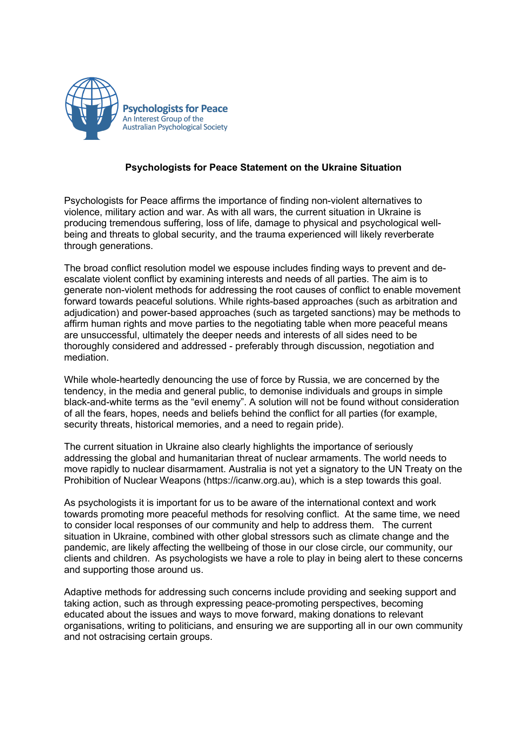

## **Psychologists for Peace Statement on the Ukraine Situation**

Psychologists for Peace affirms the importance of finding non-violent alternatives to violence, military action and war. As with all wars, the current situation in Ukraine is producing tremendous suffering, loss of life, damage to physical and psychological wellbeing and threats to global security, and the trauma experienced will likely reverberate through generations.

The broad conflict resolution model we espouse includes finding ways to prevent and deescalate violent conflict by examining interests and needs of all parties. The aim is to generate non-violent methods for addressing the root causes of conflict to enable movement forward towards peaceful solutions. While rights-based approaches (such as arbitration and adjudication) and power-based approaches (such as targeted sanctions) may be methods to affirm human rights and move parties to the negotiating table when more peaceful means are unsuccessful, ultimately the deeper needs and interests of all sides need to be thoroughly considered and addressed - preferably through discussion, negotiation and mediation.

While whole-heartedly denouncing the use of force by Russia, we are concerned by the tendency, in the media and general public, to demonise individuals and groups in simple black-and-white terms as the "evil enemy". A solution will not be found without consideration of all the fears, hopes, needs and beliefs behind the conflict for all parties (for example, security threats, historical memories, and a need to regain pride).

The current situation in Ukraine also clearly highlights the importance of seriously addressing the global and humanitarian threat of nuclear armaments. The world needs to move rapidly to nuclear disarmament. Australia is not yet a signatory to the UN Treaty on the Prohibition of Nuclear Weapons (https://icanw.org.au), which is a step towards this goal.

As psychologists it is important for us to be aware of the international context and work towards promoting more peaceful methods for resolving conflict. At the same time, we need to consider local responses of our community and help to address them. The current situation in Ukraine, combined with other global stressors such as climate change and the pandemic, are likely affecting the wellbeing of those in our close circle, our community, our clients and children. As psychologists we have a role to play in being alert to these concerns and supporting those around us.

Adaptive methods for addressing such concerns include providing and seeking support and taking action, such as through expressing peace-promoting perspectives, becoming educated about the issues and ways to move forward, making donations to relevant organisations, writing to politicians, and ensuring we are supporting all in our own community and not ostracising certain groups.